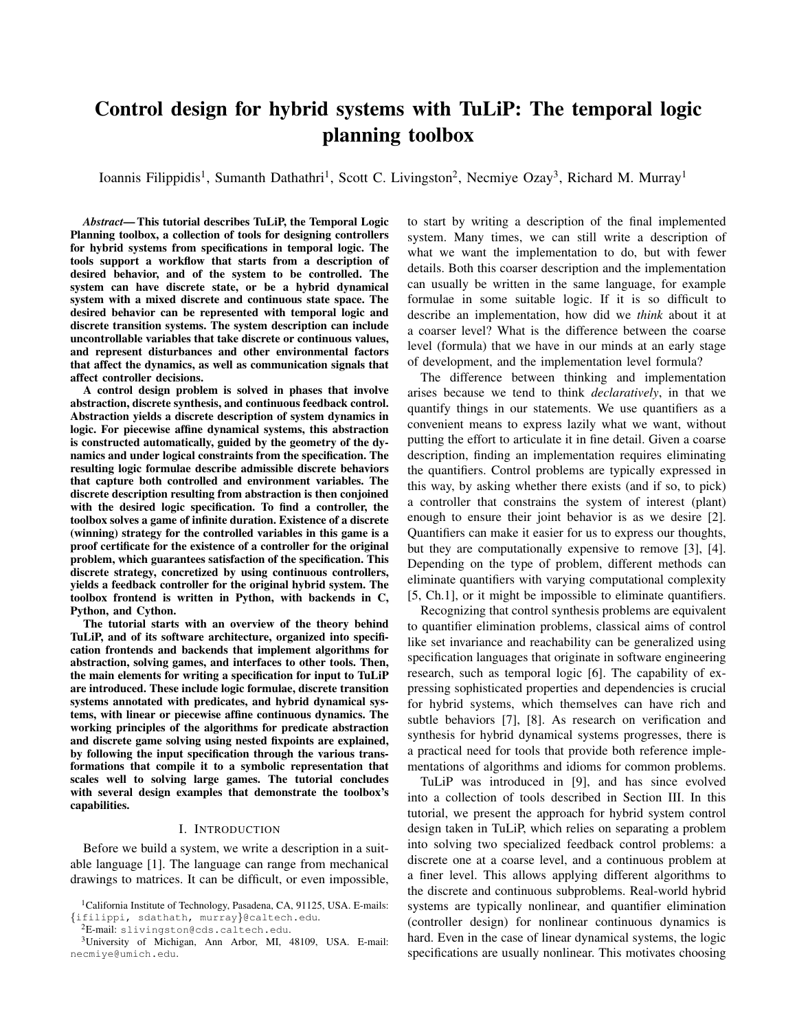# Control design for hybrid systems with TuLiP: The temporal logic planning toolbox

Ioannis Filippidis<sup>1</sup>, Sumanth Dathathri<sup>1</sup>, Scott C. Livingston<sup>2</sup>, Necmiye Ozay<sup>3</sup>, Richard M. Murray<sup>1</sup>

*Abstract*— This tutorial describes TuLiP, the Temporal Logic Planning toolbox, a collection of tools for designing controllers for hybrid systems from specifications in temporal logic. The tools support a workflow that starts from a description of desired behavior, and of the system to be controlled. The system can have discrete state, or be a hybrid dynamical system with a mixed discrete and continuous state space. The desired behavior can be represented with temporal logic and discrete transition systems. The system description can include uncontrollable variables that take discrete or continuous values, and represent disturbances and other environmental factors that affect the dynamics, as well as communication signals that affect controller decisions.

A control design problem is solved in phases that involve abstraction, discrete synthesis, and continuous feedback control. Abstraction yields a discrete description of system dynamics in logic. For piecewise affine dynamical systems, this abstraction is constructed automatically, guided by the geometry of the dynamics and under logical constraints from the specification. The resulting logic formulae describe admissible discrete behaviors that capture both controlled and environment variables. The discrete description resulting from abstraction is then conjoined with the desired logic specification. To find a controller, the toolbox solves a game of infinite duration. Existence of a discrete (winning) strategy for the controlled variables in this game is a proof certificate for the existence of a controller for the original problem, which guarantees satisfaction of the specification. This discrete strategy, concretized by using continuous controllers, yields a feedback controller for the original hybrid system. The toolbox frontend is written in Python, with backends in C, Python, and Cython.

The tutorial starts with an overview of the theory behind TuLiP, and of its software architecture, organized into specification frontends and backends that implement algorithms for abstraction, solving games, and interfaces to other tools. Then, the main elements for writing a specification for input to TuLiP are introduced. These include logic formulae, discrete transition systems annotated with predicates, and hybrid dynamical systems, with linear or piecewise affine continuous dynamics. The working principles of the algorithms for predicate abstraction and discrete game solving using nested fixpoints are explained, by following the input specification through the various transformations that compile it to a symbolic representation that scales well to solving large games. The tutorial concludes with several design examples that demonstrate the toolbox's capabilities.

### I. INTRODUCTION

Before we build a system, we write a description in a suitable language [1]. The language can range from mechanical drawings to matrices. It can be difficult, or even impossible, to start by writing a description of the final implemented system. Many times, we can still write a description of what we want the implementation to do, but with fewer details. Both this coarser description and the implementation can usually be written in the same language, for example formulae in some suitable logic. If it is so difficult to describe an implementation, how did we *think* about it at a coarser level? What is the difference between the coarse level (formula) that we have in our minds at an early stage of development, and the implementation level formula?

The difference between thinking and implementation arises because we tend to think *declaratively*, in that we quantify things in our statements. We use quantifiers as a convenient means to express lazily what we want, without putting the effort to articulate it in fine detail. Given a coarse description, finding an implementation requires eliminating the quantifiers. Control problems are typically expressed in this way, by asking whether there exists (and if so, to pick) a controller that constrains the system of interest (plant) enough to ensure their joint behavior is as we desire [2]. Quantifiers can make it easier for us to express our thoughts, but they are computationally expensive to remove [3], [4]. Depending on the type of problem, different methods can eliminate quantifiers with varying computational complexity [5, Ch.1], or it might be impossible to eliminate quantifiers.

Recognizing that control synthesis problems are equivalent to quantifier elimination problems, classical aims of control like set invariance and reachability can be generalized using specification languages that originate in software engineering research, such as temporal logic [6]. The capability of expressing sophisticated properties and dependencies is crucial for hybrid systems, which themselves can have rich and subtle behaviors [7], [8]. As research on verification and synthesis for hybrid dynamical systems progresses, there is a practical need for tools that provide both reference implementations of algorithms and idioms for common problems.

TuLiP was introduced in [9], and has since evolved into a collection of tools described in Section III. In this tutorial, we present the approach for hybrid system control design taken in TuLiP, which relies on separating a problem into solving two specialized feedback control problems: a discrete one at a coarse level, and a continuous problem at a finer level. This allows applying different algorithms to the discrete and continuous subproblems. Real-world hybrid systems are typically nonlinear, and quantifier elimination (controller design) for nonlinear continuous dynamics is hard. Even in the case of linear dynamical systems, the logic specifications are usually nonlinear. This motivates choosing

<sup>&</sup>lt;sup>1</sup>California Institute of Technology, Pasadena, CA, 91125, USA. E-mails: *{*ifilippi, sdathath, murray*}*@caltech.edu.

<sup>&</sup>lt;sup>2</sup>E-mail: slivingston@cds.caltech.edu.

<sup>3</sup>University of Michigan, Ann Arbor, MI, 48109, USA. E-mail: necmiye@umich.edu.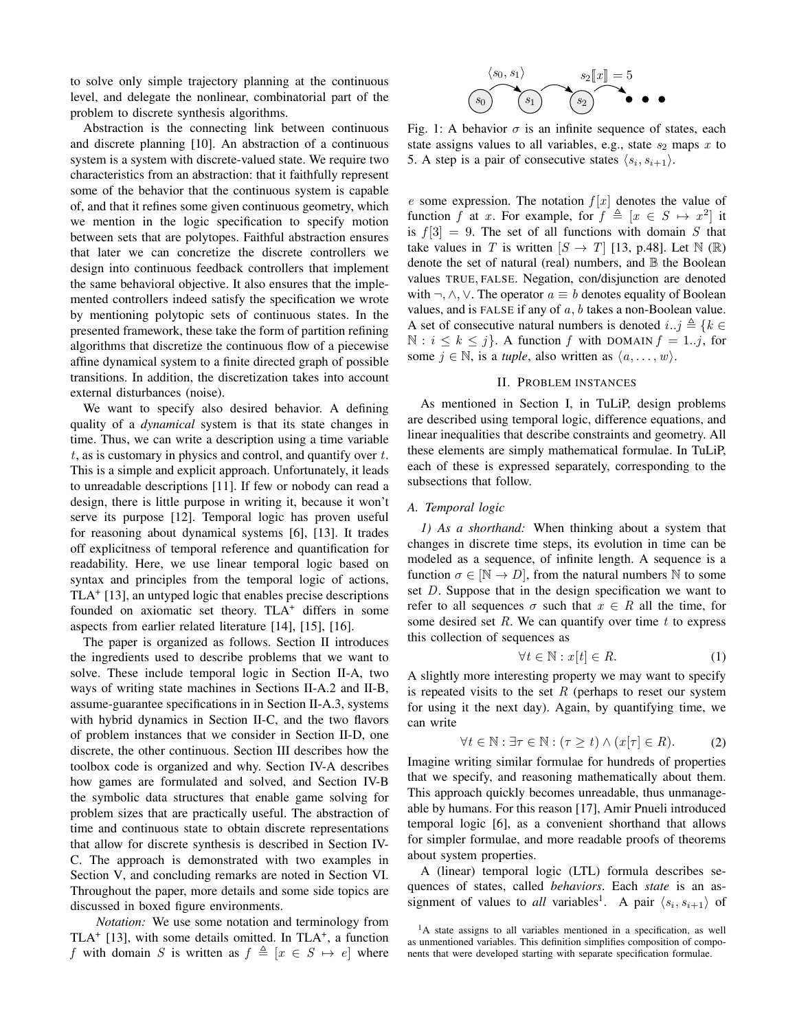to solve only simple trajectory planning at the continuous level, and delegate the nonlinear, combinatorial part of the problem to discrete synthesis algorithms.

Abstraction is the connecting link between continuous and discrete planning [10]. An abstraction of a continuous system is a system with discrete-valued state. We require two characteristics from an abstraction: that it faithfully represent some of the behavior that the continuous system is capable of, and that it refines some given continuous geometry, which we mention in the logic specification to specify motion between sets that are polytopes. Faithful abstraction ensures that later we can concretize the discrete controllers we design into continuous feedback controllers that implement the same behavioral objective. It also ensures that the implemented controllers indeed satisfy the specification we wrote by mentioning polytopic sets of continuous states. In the presented framework, these take the form of partition refining algorithms that discretize the continuous flow of a piecewise affine dynamical system to a finite directed graph of possible transitions. In addition, the discretization takes into account external disturbances (noise).

We want to specify also desired behavior. A defining quality of a *dynamical* system is that its state changes in time. Thus, we can write a description using a time variable *t*, as is customary in physics and control, and quantify over *t*. This is a simple and explicit approach. Unfortunately, it leads to unreadable descriptions [11]. If few or nobody can read a design, there is little purpose in writing it, because it won't serve its purpose [12]. Temporal logic has proven useful for reasoning about dynamical systems [6], [13]. It trades off explicitness of temporal reference and quantification for readability. Here, we use linear temporal logic based on syntax and principles from the temporal logic of actions, TLA<sup>+</sup> [13], an untyped logic that enables precise descriptions founded on axiomatic set theory. TLA<sup>+</sup> differs in some aspects from earlier related literature [14], [15], [16].

The paper is organized as follows. Section II introduces the ingredients used to describe problems that we want to solve. These include temporal logic in Section II-A, two ways of writing state machines in Sections II-A.2 and II-B, assume-guarantee specifications in in Section II-A.3, systems with hybrid dynamics in Section II-C, and the two flavors of problem instances that we consider in Section II-D, one discrete, the other continuous. Section III describes how the toolbox code is organized and why. Section IV-A describes how games are formulated and solved, and Section IV-B the symbolic data structures that enable game solving for problem sizes that are practically useful. The abstraction of time and continuous state to obtain discrete representations that allow for discrete synthesis is described in Section IV-C. The approach is demonstrated with two examples in Section V, and concluding remarks are noted in Section VI. Throughout the paper, more details and some side topics are discussed in boxed figure environments.

*Notation:* We use some notation and terminology from TLA<sup>+</sup> [13], with some details omitted. In TLA<sup>+</sup>, a function *f* with domain *S* is written as  $f \triangleq [x \in S \mapsto e]$  where



Fig. 1: A behavior  $\sigma$  is an infinite sequence of states, each state assigns values to all variables, e.g., state  $s_2$  maps  $x$  to 5. A step is a pair of consecutive states  $\langle s_i, s_{i+1} \rangle$ .

*e* some expression. The notation  $f[x]$  denotes the value of function *f* at *x*. For example, for  $f \triangleq [x \in S \mapsto x^2]$  it is  $f[3] = 9$ . The set of all functions with domain *S* that take values in *T* is written  $[S \rightarrow T]$  [13, p.48]. Let  $\mathbb{N}(\mathbb{R})$ denote the set of natural (real) numbers, and  $\mathbb B$  the Boolean values TRUE*,* FALSE. Negation, con/disjunction are denoted with  $\neg, \wedge, \vee$ . The operator  $a \equiv b$  denotes equality of Boolean values, and is FALSE if any of *a, b* takes a non-Boolean value. A set of consecutive natural numbers is denoted  $i,j \triangleq \{k \in \mathbb{Z}\}$  $\mathbb{N}: i \leq k \leq j$ . A function *f* with DOMAIN  $f = 1..j$ , for some  $j \in \mathbb{N}$ , is a *tuple*, also written as  $\langle a, \ldots, w \rangle$ .

# II. PROBLEM INSTANCES

As mentioned in Section I, in TuLiP, design problems are described using temporal logic, difference equations, and linear inequalities that describe constraints and geometry. All these elements are simply mathematical formulae. In TuLiP, each of these is expressed separately, corresponding to the subsections that follow.

#### *A. Temporal logic*

*1) As a shorthand:* When thinking about a system that changes in discrete time steps, its evolution in time can be modeled as a sequence, of infinite length. A sequence is a function  $\sigma \in [\mathbb{N} \to D]$ , from the natural numbers  $\mathbb N$  to some set *D*. Suppose that in the design specification we want to refer to all sequences  $\sigma$  such that  $x \in R$  all the time, for some desired set *R*. We can quantify over time *t* to express this collection of sequences as

$$
\forall t \in \mathbb{N} : x[t] \in R. \tag{1}
$$

A slightly more interesting property we may want to specify is repeated visits to the set *R* (perhaps to reset our system for using it the next day). Again, by quantifying time, we can write

$$
\forall t \in \mathbb{N} : \exists \tau \in \mathbb{N} : (\tau \ge t) \land (x[\tau] \in R). \tag{2}
$$

Imagine writing similar formulae for hundreds of properties that we specify, and reasoning mathematically about them. This approach quickly becomes unreadable, thus unmanageable by humans. For this reason [17], Amir Pnueli introduced temporal logic [6], as a convenient shorthand that allows for simpler formulae, and more readable proofs of theorems about system properties.

A (linear) temporal logic (LTL) formula describes sequences of states, called *behaviors*. Each *state* is an assignment of values to *all* variables<sup>1</sup>. A pair  $\langle s_i, s_{i+1} \rangle$  of

<sup>&</sup>lt;sup>1</sup>A state assigns to all variables mentioned in a specification, as well as unmentioned variables. This definition simplifies composition of components that were developed starting with separate specification formulae.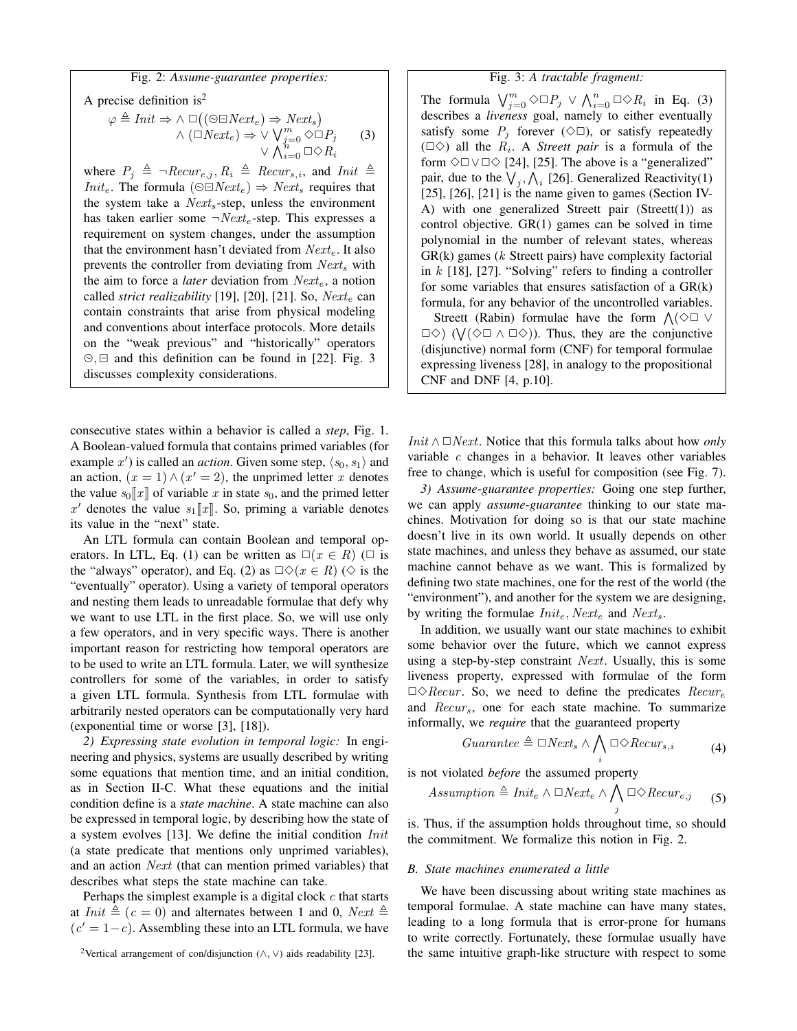Fig. 2: *Assume-guarantee properties:*

A precise definition is<sup>2</sup>

$$
\varphi \triangleq Init \Rightarrow \land \Box ((\odot \Box Next_e) \Rightarrow Next_s)
$$
  
 
$$
\land (\Box Next_e) \Rightarrow \lor \bigvee_{j=0}^{m} \Diamond \Box P_j
$$
  
 
$$
\lor \bigwedge_{i=0}^{n} \Box \Diamond R_i
$$
 (3)

where  $P_j \triangleq \neg Recur_{e,j}, R_i \triangleq Recur_{s,i}$ , and  $Init \triangleq$ *Init<sub>e</sub>*. The formula  $(\odot \boxminus Next_e) \Rightarrow Next_s$  requires that the system take a *Next<sup>s</sup>* -step, unless the environment has taken earlier some  $\neg Next_e$ -step. This expresses a requirement on system changes, under the assumption that the environment hasn't deviated from *Next<sup>e</sup>* . It also prevents the controller from deviating from *Next<sup>s</sup>* with the aim to force a *later* deviation from *Next<sup>e</sup>* , a notion called *strict realizability* [19], [20], [21]. So, *Next<sup>e</sup>* can contain constraints that arise from physical modeling and conventions about interface protocols. More details on the "weak previous" and "historically" operators  $\odot$ ,  $\boxdot$  and this definition can be found in [22]. Fig. 3 discusses complexity considerations.

consecutive states within a behavior is called a *step*, Fig. 1. A Boolean-valued formula that contains primed variables (for example  $x'$ ) is called an *action*. Given some step,  $\langle s_0, s_1 \rangle$  and an action,  $(x = 1) \wedge (x' = 2)$ , the unprimed letter *x* denotes the value  $s_0[x]$  of variable *x* in state  $s_0$ , and the primed letter  $x'$  denotes the value  $s_1[[x]]$ . So, priming a variable denotes its value in the "next" state.

An LTL formula can contain Boolean and temporal operators. In LTL, Eq. (1) can be written as  $\Box(x \in R)$  ( $\Box$  is the "always" operator), and Eq. (2) as  $\Box \Diamond (x \in R)$  ( $\Diamond$  is the "eventually" operator). Using a variety of temporal operators and nesting them leads to unreadable formulae that defy why we want to use LTL in the first place. So, we will use only a few operators, and in very specific ways. There is another important reason for restricting how temporal operators are to be used to write an LTL formula. Later, we will synthesize controllers for some of the variables, in order to satisfy a given LTL formula. Synthesis from LTL formulae with arbitrarily nested operators can be computationally very hard (exponential time or worse [3], [18]).

*2) Expressing state evolution in temporal logic:* In engineering and physics, systems are usually described by writing some equations that mention time, and an initial condition, as in Section II-C. What these equations and the initial condition define is a *state machine*. A state machine can also be expressed in temporal logic, by describing how the state of a system evolves [13]. We define the initial condition *Init* (a state predicate that mentions only unprimed variables), and an action *Next* (that can mention primed variables) that describes what steps the state machine can take.

Perhaps the simplest example is a digital clock *c* that starts at *Init*  $\triangleq$  (*c* = 0) and alternates between 1 and 0, *Next*  $\triangleq$  $(c' = 1 - c)$ . Assembling these into an LTL formula, we have

# Fig. 3: *A tractable fragment:*

The formula  $\bigvee_{j=0}^{m} \Diamond \Box P_j \ \vee \ \bigwedge_{i=0}^{n} \Box \Diamond R_i$  in Eq. (3) describes a *liveness* goal, namely to either eventually satisfy some  $P_j$  forever ( $\Diamond \Box$ ), or satisfy repeatedly  $(\Box \Diamond)$  all the  $R_i$ . A *Streett pair* is a formula of the form  $\Diamond \Box \lor \Box \Diamond$  [24], [25]. The above is a "generalized" pair, due to the  $\bigvee_j, \bigwedge_i$  [26]. Generalized Reactivity(1) [25], [26], [21] is the name given to games (Section IV-A) with one generalized Streett pair  $(Street(1))$  as control objective. GR(1) games can be solved in time polynomial in the number of relevant states, whereas GR(k) games (*k* Streett pairs) have complexity factorial in *k* [18], [27]. "Solving" refers to finding a controller for some variables that ensures satisfaction of a  $GR(k)$ formula, for any behavior of the uncontrolled variables.

Streett (Rabin) formulae have the form  $\bigwedge (\Diamond \Box \vee \Box$ *✷✸*) ( ∨ (*✸✷ ∧ ✷✸*)). Thus, they are the conjunctive (disjunctive) normal form (CNF) for temporal formulae expressing liveness [28], in analogy to the propositional CNF and DNF [4, p.10].

*Init* ∧  $\Box$ *Next*. Notice that this formula talks about how *only* variable *c* changes in a behavior. It leaves other variables free to change, which is useful for composition (see Fig. 7).

*3) Assume-guarantee properties:* Going one step further, we can apply *assume-guarantee* thinking to our state machines. Motivation for doing so is that our state machine doesn't live in its own world. It usually depends on other state machines, and unless they behave as assumed, our state machine cannot behave as we want. This is formalized by defining two state machines, one for the rest of the world (the "environment"), and another for the system we are designing, by writing the formulae *Init<sup>e</sup> , Next<sup>e</sup>* and *Next<sup>s</sup>* .

In addition, we usually want our state machines to exhibit some behavior over the future, which we cannot express using a step-by-step constraint *Next*. Usually, this is some liveness property, expressed with formulae of the form *✷✸Recur* . So, we need to define the predicates *Recur<sup>e</sup>* and *Recur<sub>s</sub>*, one for each state machine. To summarize informally, we *require* that the guaranteed property

$$
Guarantee \triangleq \Box Next_s \wedge \bigwedge_i \Box \Diamond Recur_{s,i} \qquad (4)
$$

is not violated *before* the assumed property

$$
Assumption \triangleq Int_e \wedge \Box Next_e \wedge \bigwedge_j \Box \lozenge Recur_{e,j} \qquad (5)
$$

is. Thus, if the assumption holds throughout time, so should the commitment. We formalize this notion in Fig. 2.

#### *B. State machines enumerated a little*

We have been discussing about writing state machines as temporal formulae. A state machine can have many states, leading to a long formula that is error-prone for humans to write correctly. Fortunately, these formulae usually have the same intuitive graph-like structure with respect to some

<sup>2</sup>Vertical arrangement of con/disjunction (*∧, ∨*) aids readability [23].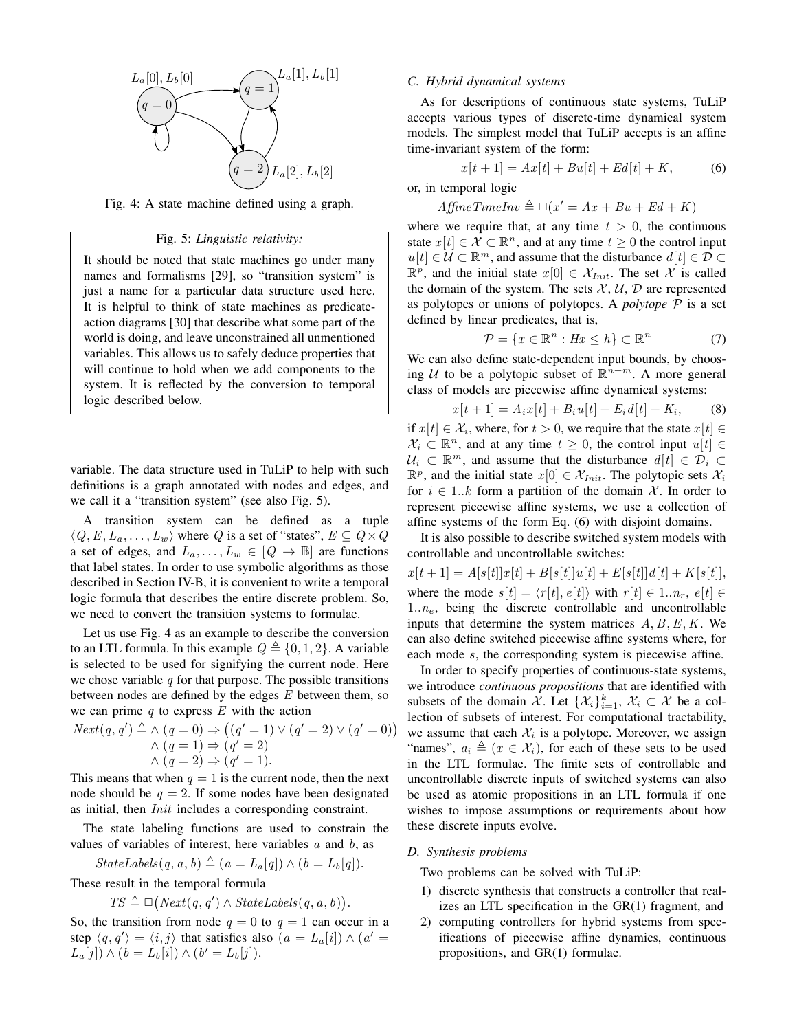

Fig. 4: A state machine defined using a graph.

#### Fig. 5: *Linguistic relativity:*

It should be noted that state machines go under many names and formalisms [29], so "transition system" is just a name for a particular data structure used here. It is helpful to think of state machines as predicateaction diagrams [30] that describe what some part of the world is doing, and leave unconstrained all unmentioned variables. This allows us to safely deduce properties that will continue to hold when we add components to the system. It is reflected by the conversion to temporal logic described below.

variable. The data structure used in TuLiP to help with such definitions is a graph annotated with nodes and edges, and we call it a "transition system" (see also Fig. 5).

A transition system can be defined as a tuple  $\langle Q, E, L_a, \ldots, L_w \rangle$  where  $Q$  is a set of "states",  $E \subseteq Q \times Q$ a set of edges, and  $L_a, \ldots, L_w \in [Q \rightarrow \mathbb{B}]$  are functions that label states. In order to use symbolic algorithms as those described in Section IV-B, it is convenient to write a temporal logic formula that describes the entire discrete problem. So, we need to convert the transition systems to formulae.

Let us use Fig. 4 as an example to describe the conversion to an LTL formula. In this example  $Q \triangleq \{0, 1, 2\}$ . A variable is selected to be used for signifying the current node. Here we chose variable *q* for that purpose. The possible transitions between nodes are defined by the edges *E* between them, so we can prime *q* to express *E* with the action

$$
Next(q, q') \triangleq \land (q = 0) \Rightarrow ((q' = 1) \lor (q' = 2) \lor (q' = 0))
$$
  
 
$$
\land (q = 1) \Rightarrow (q' = 2)
$$
  
 
$$
\land (q = 2) \Rightarrow (q' = 1).
$$

This means that when  $q = 1$  is the current node, then the next node should be  $q = 2$ . If some nodes have been designated as initial, then *Init* includes a corresponding constraint.

The state labeling functions are used to constrain the values of variables of interest, here variables *a* and *b*, as

StateLabels
$$
(q, a, b) \triangleq (a = L_a[q]) \wedge (b = L_b[q]).
$$

These result in the temporal formula

$$
TS \triangleq \Box (Next(q, q') \land StateLabel(q, a, b))
$$

*.*

So, the transition from node  $q = 0$  to  $q = 1$  can occur in a step  $\langle q, q' \rangle = \langle i, j \rangle$  that satisfies also  $(a = L_a[i]) \wedge (a' =$  $L_a[j]) \wedge (b = L_b[i]) \wedge (b' = L_b[j]).$ 

## *C. Hybrid dynamical systems*

As for descriptions of continuous state systems, TuLiP accepts various types of discrete-time dynamical system models. The simplest model that TuLiP accepts is an affine time-invariant system of the form:

$$
x[t+1] = Ax[t] + Bu[t] + Ed[t] + K,
$$
\n(6)

\ntemporal logic

or, in temporal logic

$$
AffineTimeInv \triangleq \Box(x' = Ax + Bu + Ed + K)
$$

where we require that, at any time  $t > 0$ , the continuous state  $x[t] \in \mathcal{X} \subset \mathbb{R}^n$ , and at any time  $t \geq 0$  the control input  $u[t] \in \mathcal{U} \subset \mathbb{R}^m$ , and assume that the disturbance  $d[t] \in \mathcal{D} \subset$  $\mathbb{R}^p$ , and the initial state  $x[0] \in \mathcal{X}_{Init}$ . The set  $\mathcal{X}$  is called the domain of the system. The sets  $X, U, D$  are represented as polytopes or unions of polytopes. A *polytope P* is a set defined by linear predicates, that is,

$$
\mathcal{P} = \{x \in \mathbb{R}^n : Hx \le h\} \subset \mathbb{R}^n \tag{7}
$$

We can also define state-dependent input bounds, by choosing *U* to be a polytopic subset of  $\mathbb{R}^{n+m}$ . A more general class of models are piecewise affine dynamical systems:

$$
x[t+1] = A_i x[t] + B_i u[t] + E_i d[t] + K_i,
$$
 (8)

if  $x[t] \in \mathcal{X}_i$ , where, for  $t > 0$ , we require that the state  $x[t] \in$  $\mathcal{X}_i \subset \mathbb{R}^n$ , and at any time  $t \geq 0$ , the control input  $u[t] \in$  $\mathcal{U}_i \subset \mathbb{R}^m$ , and assume that the disturbance  $d[t] \in \mathcal{D}_i \subset$  $\mathbb{R}^p$ , and the initial state  $x[0] \in \mathcal{X}_{Init}$ . The polytopic sets  $\mathcal{X}_i$ for  $i \in 1..k$  form a partition of the domain X. In order to represent piecewise affine systems, we use a collection of affine systems of the form Eq. (6) with disjoint domains.

It is also possible to describe switched system models with controllable and uncontrollable switches:

 $x[t+1] = A[s[t]]x[t] + B[s[t]]u[t] + E[s[t]]d[t] + K[s[t]],$ where the mode  $s[t] = \langle r[t], e[t] \rangle$  with  $r[t] \in 1..n_r, e[t] \in$  $1..n_e$ , being the discrete controllable and uncontrollable inputs that determine the system matrices  $A, B, E, K$ . We can also define switched piecewise affine systems where, for each mode *s*, the corresponding system is piecewise affine.

In order to specify properties of continuous-state systems, we introduce *continuous propositions* that are identified with subsets of the domain *X*. Let  $\{\mathcal{X}_i\}_{i=1}^k$ ,  $\mathcal{X}_i \subset \mathcal{X}$  be a collection of subsets of interest. For computational tractability, we assume that each  $\mathcal{X}_i$  is a polytope. Moreover, we assign "names",  $a_i \triangleq (x \in \mathcal{X}_i)$ , for each of these sets to be used in the LTL formulae. The finite sets of controllable and uncontrollable discrete inputs of switched systems can also be used as atomic propositions in an LTL formula if one wishes to impose assumptions or requirements about how these discrete inputs evolve.

# *D. Synthesis problems*

Two problems can be solved with TuLiP:

- 1) discrete synthesis that constructs a controller that realizes an LTL specification in the GR(1) fragment, and
- 2) computing controllers for hybrid systems from specifications of piecewise affine dynamics, continuous propositions, and GR(1) formulae.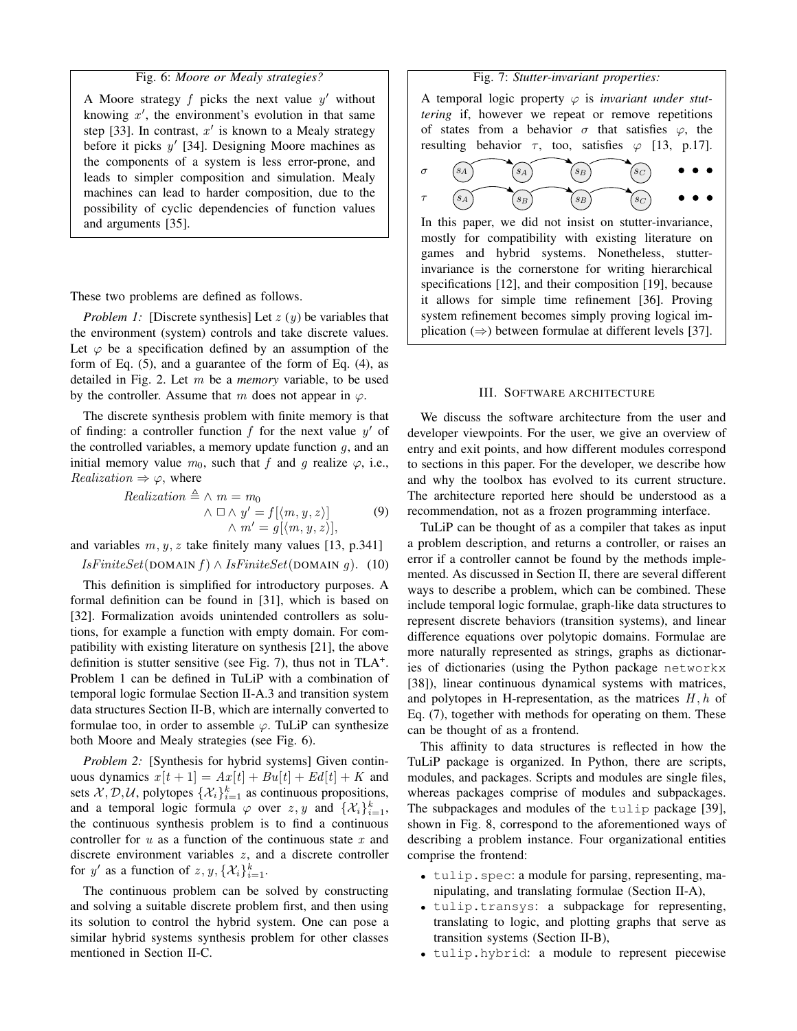## Fig. 6: *Moore or Mealy strategies?*

A Moore strategy *f* picks the next value *y ′* without knowing *x ′* , the environment's evolution in that same step [33]. In contrast, *x ′* is known to a Mealy strategy before it picks *y ′* [34]. Designing Moore machines as the components of a system is less error-prone, and leads to simpler composition and simulation. Mealy machines can lead to harder composition, due to the possibility of cyclic dependencies of function values and arguments [35].

These two problems are defined as follows.

*Problem 1:* [Discrete synthesis] Let *z* (*y*) be variables that the environment (system) controls and take discrete values. Let  $\varphi$  be a specification defined by an assumption of the form of Eq. (5), and a guarantee of the form of Eq. (4), as detailed in Fig. 2. Let *m* be a *memory* variable, to be used by the controller. Assume that *m* does not appear in *φ*.

The discrete synthesis problem with finite memory is that of finding: a controller function *f* for the next value *y ′* of the controlled variables, a memory update function *g*, and an initial memory value  $m_0$ , such that f and g realize  $\varphi$ , i.e.,  $Realization \Rightarrow \varphi$ , where

Realization 
$$
\triangleq \wedge m = m_0
$$
  
\n $\wedge \square \wedge y' = f[\langle m, y, z \rangle]$  (9)  
\n $\wedge m' = g[\langle m, y, z \rangle],$ 

and variables  $m, y, z$  take finitely many values [13, p.341]  $IsFiniteSet(DOMAIN f) \wedge IsFiniteSet(DOMAIN g)$ . (10)

This definition is simplified for introductory purposes. A formal definition can be found in [31], which is based on [32]. Formalization avoids unintended controllers as solutions, for example a function with empty domain. For compatibility with existing literature on synthesis [21], the above definition is stutter sensitive (see Fig. 7), thus not in  $TLA<sup>+</sup>$ . Problem 1 can be defined in TuLiP with a combination of temporal logic formulae Section II-A.3 and transition system data structures Section II-B, which are internally converted to formulae too, in order to assemble *φ*. TuLiP can synthesize both Moore and Mealy strategies (see Fig. 6).

*Problem 2:* [Synthesis for hybrid systems] Given continuous dynamics  $x[t+1] = Ax[t] + Bu[t] + Ed[t] + K$  and sets *X*, *D*, *U*, polytopes  $\{\mathcal{X}_i\}_{i=1}^k$  as continuous propositions, and a temporal logic formula  $\varphi$  over  $z, y$  and  $\{\mathcal{X}_i\}_{i=1}^k$ , the continuous synthesis problem is to find a continuous controller for *u* as a function of the continuous state *x* and discrete environment variables *z*, and a discrete controller for *y'* as a function of *z*, *y*,  $\{X_i\}_{i=1}^k$ .

The continuous problem can be solved by constructing and solving a suitable discrete problem first, and then using its solution to control the hybrid system. One can pose a similar hybrid systems synthesis problem for other classes mentioned in Section II-C.

# Fig. 7: *Stutter-invariant properties:*

A temporal logic property *φ* is *invariant under stuttering* if, however we repeat or remove repetitions of states from a behavior  $\sigma$  that satisfies  $\varphi$ , the resulting behavior  $\tau$ , too, satisfies  $\varphi$  [13, p.17].

$$
\sigma \qquad (SA)
$$
\n
$$
\sigma
$$
\n
$$
(SA)
$$
\n
$$
(SB)
$$
\n
$$
(SC)
$$
\n
$$
(SC)
$$
\n
$$
(SC)
$$
\n
$$
(SC)
$$
\n
$$
(SC)
$$
\n
$$
(SC)
$$
\n
$$
(SC)
$$
\n
$$
(SC)
$$
\n
$$
(SC)
$$
\n
$$
(SC)
$$
\n
$$
(SC)
$$
\n
$$
(SC)
$$
\n
$$
(SC)
$$
\n
$$
(SC)
$$
\n
$$
(SC)
$$

In this paper, we did not insist on stutter-invariance, mostly for compatibility with existing literature on games and hybrid systems. Nonetheless, stutterinvariance is the cornerstone for writing hierarchical specifications [12], and their composition [19], because it allows for simple time refinement [36]. Proving system refinement becomes simply proving logical implication (*⇒*) between formulae at different levels [37].

## III. SOFTWARE ARCHITECTURE

We discuss the software architecture from the user and developer viewpoints. For the user, we give an overview of entry and exit points, and how different modules correspond to sections in this paper. For the developer, we describe how and why the toolbox has evolved to its current structure. The architecture reported here should be understood as a recommendation, not as a frozen programming interface.

TuLiP can be thought of as a compiler that takes as input a problem description, and returns a controller, or raises an error if a controller cannot be found by the methods implemented. As discussed in Section II, there are several different ways to describe a problem, which can be combined. These include temporal logic formulae, graph-like data structures to represent discrete behaviors (transition systems), and linear difference equations over polytopic domains. Formulae are more naturally represented as strings, graphs as dictionaries of dictionaries (using the Python package networkx [38]), linear continuous dynamical systems with matrices, and polytopes in H-representation, as the matrices *H , h* of Eq. (7), together with methods for operating on them. These can be thought of as a frontend.

This affinity to data structures is reflected in how the TuLiP package is organized. In Python, there are scripts, modules, and packages. Scripts and modules are single files, whereas packages comprise of modules and subpackages. The subpackages and modules of the tulip package [39], shown in Fig. 8, correspond to the aforementioned ways of describing a problem instance. Four organizational entities comprise the frontend:

- tulip.spec: a module for parsing, representing, manipulating, and translating formulae (Section II-A),
- *•* tulip.transys: a subpackage for representing, translating to logic, and plotting graphs that serve as transition systems (Section II-B),
- *•* tulip.hybrid: a module to represent piecewise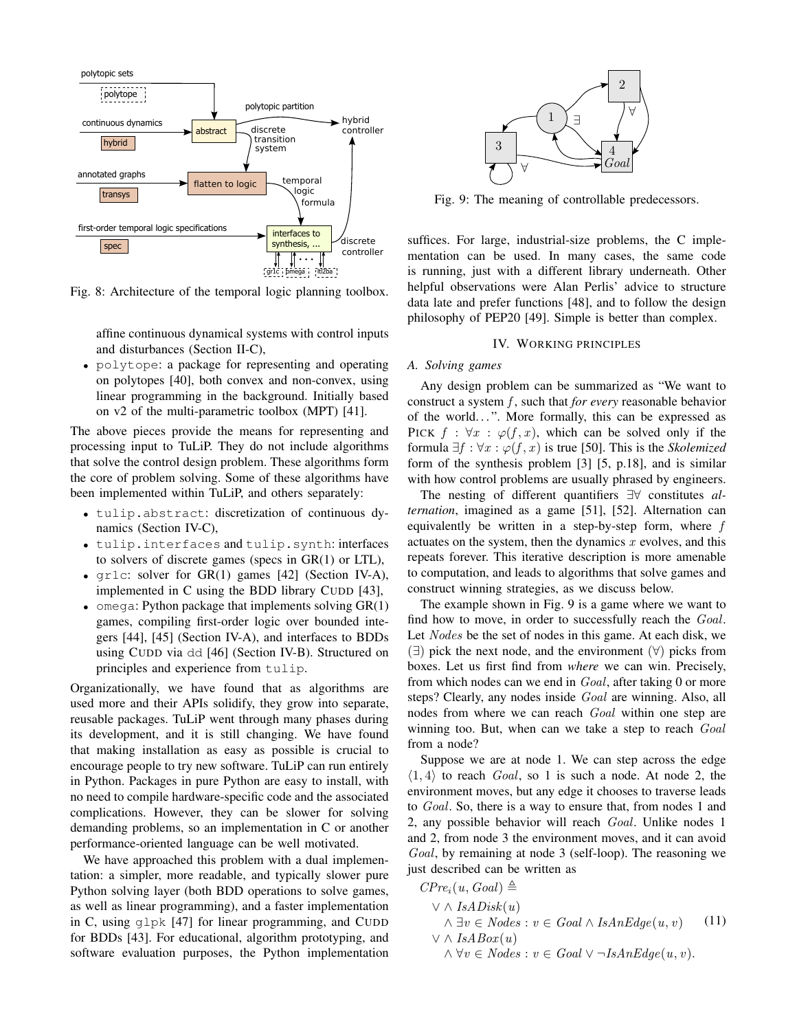

Fig. 8: Architecture of the temporal logic planning toolbox.

affine continuous dynamical systems with control inputs and disturbances (Section II-C),

*•* polytope: a package for representing and operating on polytopes [40], both convex and non-convex, using linear programming in the background. Initially based on v2 of the multi-parametric toolbox (MPT) [41].

The above pieces provide the means for representing and processing input to TuLiP. They do not include algorithms that solve the control design problem. These algorithms form the core of problem solving. Some of these algorithms have been implemented within TuLiP, and others separately:

- tulip.abstract: discretization of continuous dynamics (Section IV-C),
- *•* tulip.interfaces and tulip.synth: interfaces to solvers of discrete games (specs in GR(1) or LTL),
- *•* gr1c: solver for GR(1) games [42] (Section IV-A), implemented in C using the BDD library CUDD [43],
- omega: Python package that implements solving GR(1) games, compiling first-order logic over bounded integers [44], [45] (Section IV-A), and interfaces to BDDs using CUDD via dd [46] (Section IV-B). Structured on principles and experience from tulip.

Organizationally, we have found that as algorithms are used more and their APIs solidify, they grow into separate, reusable packages. TuLiP went through many phases during its development, and it is still changing. We have found that making installation as easy as possible is crucial to encourage people to try new software. TuLiP can run entirely in Python. Packages in pure Python are easy to install, with no need to compile hardware-specific code and the associated complications. However, they can be slower for solving demanding problems, so an implementation in C or another performance-oriented language can be well motivated.

We have approached this problem with a dual implementation: a simpler, more readable, and typically slower pure Python solving layer (both BDD operations to solve games, as well as linear programming), and a faster implementation in C, using glpk [47] for linear programming, and CUDD for BDDs [43]. For educational, algorithm prototyping, and software evaluation purposes, the Python implementation



Fig. 9: The meaning of controllable predecessors.

suffices. For large, industrial-size problems, the C implementation can be used. In many cases, the same code is running, just with a different library underneath. Other helpful observations were Alan Perlis' advice to structure data late and prefer functions [48], and to follow the design philosophy of PEP20 [49]. Simple is better than complex.

# IV. WORKING PRINCIPLES

# *A. Solving games*

Any design problem can be summarized as "We want to construct a system *f* , such that *for every* reasonable behavior of the world...". More formally, this can be expressed as PICK  $f : \forall x : \varphi(f, x)$ , which can be solved only if the formula  $\exists f : \forall x : \varphi(f, x)$  is true [50]. This is the *Skolemized* form of the synthesis problem [3] [5, p.18], and is similar with how control problems are usually phrased by engineers.

The nesting of different quantifiers *∃∀* constitutes *alternation*, imagined as a game [51], [52]. Alternation can equivalently be written in a step-by-step form, where *f* actuates on the system, then the dynamics *x* evolves, and this repeats forever. This iterative description is more amenable to computation, and leads to algorithms that solve games and construct winning strategies, as we discuss below.

The example shown in Fig. 9 is a game where we want to find how to move, in order to successfully reach the *Goal*. Let *Nodes* be the set of nodes in this game. At each disk, we (*∃*) pick the next node, and the environment (*∀*) picks from boxes. Let us first find from *where* we can win. Precisely, from which nodes can we end in *Goal*, after taking 0 or more steps? Clearly, any nodes inside *Goal* are winning. Also, all nodes from where we can reach *Goal* within one step are winning too. But, when can we take a step to reach *Goal* from a node?

Suppose we are at node 1. We can step across the edge *⟨*1*,* 4*⟩* to reach *Goal*, so 1 is such a node. At node 2, the environment moves, but any edge it chooses to traverse leads to *Goal*. So, there is a way to ensure that, from nodes 1 and 2, any possible behavior will reach *Goal*. Unlike nodes 1 and 2, from node 3 the environment moves, and it can avoid *Goal*, by remaining at node 3 (self-loop). The reasoning we just described can be written as

$$
CPre_i(u, Goal) \triangleq
$$
  
\n
$$
\lor \land IsADisk(u)
$$
  
\n
$$
\land \exists v \in Nodes : v \in Goal \land IsAnEdge(u, v)
$$
 (11)  
\n
$$
\lor \land IsABox(u)
$$
  
\n
$$
\land \forall v \in Nodes : v \in Goal \lor \neg IsAnEdge(u, v).
$$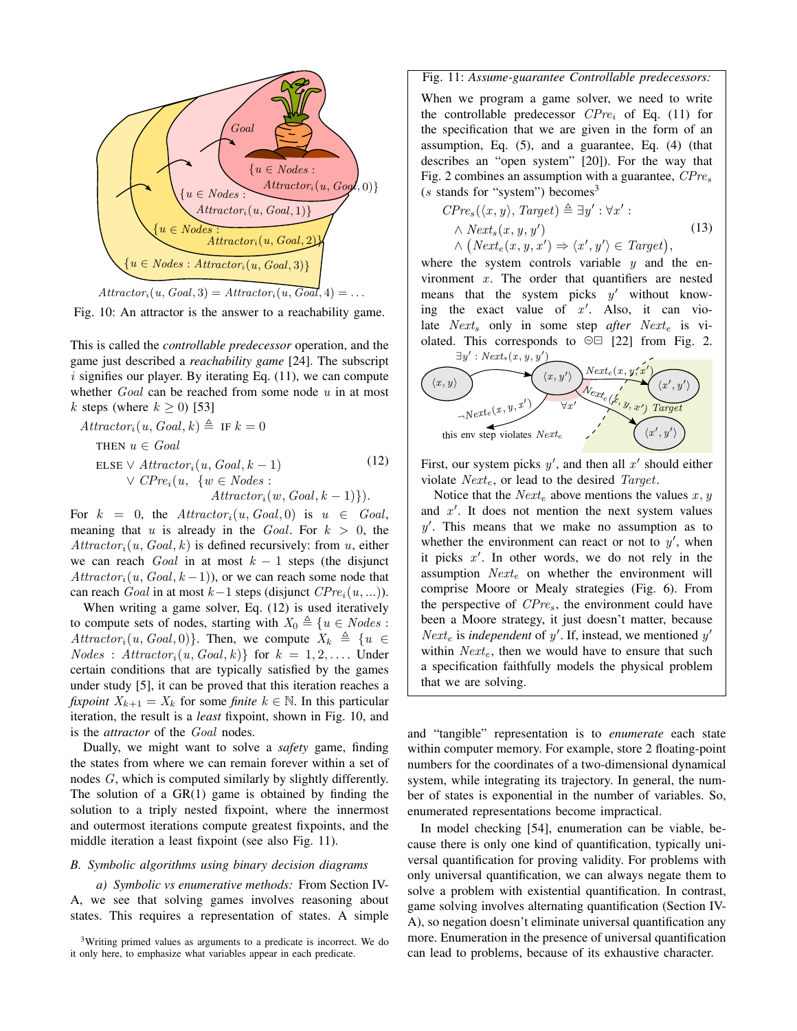

Fig. 10: An attractor is the answer to a reachability game.

This is called the *controllable predecessor* operation, and the game just described a *reachability game* [24]. The subscript  $i$  signifies our player. By iterating Eq.  $(11)$ , we can compute whether *Goal* can be reached from some node *u* in at most *k* steps (where  $k \geq 0$ ) [53]

$$
Attractor_i(u, Goal, k) \triangleq \text{ IF } k = 0
$$
  
\nTHEN  $u \in Goal$   
\nELE  $\vee$  Attactor<sub>i</sub> $(u, Goal, k - 1)$   
\n $\vee$  CPre<sub>i</sub> $(u, \{w \in Nodes :$   
\nAttraction<sub>i</sub> $(w, Goal, k - 1)\} ).$ \n(12)

For  $k = 0$ , the  $Attractor_i(u, Goal, 0)$  is  $u \in Goal$ , meaning that *u* is already in the *Goal*. For  $k > 0$ , the *Attractor<sub>i</sub>*( $u$ , *Goal*,  $k$ ) is defined recursively: from  $u$ , either we can reach *Goal* in at most *k −* 1 steps (the disjunct  $Attractor<sub>i</sub>(u, Goal, k-1)$ , or we can reach some node that can reach *Goal* in at most *k−*1 steps (disjunct *CPrei*(*u, ...*)).

When writing a game solver, Eq. (12) is used iteratively to compute sets of nodes, starting with  $X_0 \triangleq \{u \in Nodes:$ *Attractor<sub>i</sub>*( $u$ *, Goal*, 0)}. Then, we compute  $X_k \triangleq \{u \in$  $Nodes:$   $Attractor_i(u, Goal, k)$ } for  $k = 1, 2, \ldots$  Under certain conditions that are typically satisfied by the games under study [5], it can be proved that this iteration reaches a *fixpoint*  $X_{k+1} = X_k$  for some *finite*  $k \in \mathbb{N}$ . In this particular iteration, the result is a *least* fixpoint, shown in Fig. 10, and is the *attractor* of the *Goal* nodes.

Dually, we might want to solve a *safety* game, finding the states from where we can remain forever within a set of nodes *G*, which is computed similarly by slightly differently. The solution of a  $GR(1)$  game is obtained by finding the solution to a triply nested fixpoint, where the innermost and outermost iterations compute greatest fixpoints, and the middle iteration a least fixpoint (see also Fig. 11).

# *B. Symbolic algorithms using binary decision diagrams*

*a) Symbolic vs enumerative methods:* From Section IV-A, we see that solving games involves reasoning about states. This requires a representation of states. A simple

# Fig. 11: *Assume-guarantee Controllable predecessors:*

When we program a game solver, we need to write the controllable predecessor *CPre<sup>i</sup>* of Eq. (11) for the specification that we are given in the form of an assumption, Eq. (5), and a guarantee, Eq. (4) (that describes an "open system" [20]). For the way that Fig. 2 combines an assumption with a guarantee, *CPre<sup>s</sup>*  $(s$  stands for "system") becomes<sup>3</sup>

$$
CPre_s(\langle x, y \rangle, Target) \triangleq \exists y' : \forall x' : \land Next_s(x, y, y') \land (Next_e(x, y, x') \Rightarrow \langle x', y' \rangle \in Target),
$$
\n(13)

where the system controls variable *y* and the environment  $x$ . The order that quantifiers are nested means that the system picks *y ′* without knowing the exact value of *x ′* . Also, it can violate *Next<sup>s</sup>* only in some step *after Next<sup>e</sup>* is violated. This corresponds to  $\odot \Box$  [22] from Fig. 2.



First, our system picks *y ′* , and then all *x ′* should either violate *Next<sup>e</sup>* , or lead to the desired *Target*.

Notice that the *Next*<sub>*e*</sub> above mentions the values  $x, y$ and *x ′* . It does not mention the next system values *y ′* . This means that we make no assumption as to whether the environment can react or not to  $y'$ , when it picks *x ′* . In other words, we do not rely in the assumption *Next<sup>e</sup>* on whether the environment will comprise Moore or Mealy strategies (Fig. 6). From the perspective of *CPre<sup>s</sup>* , the environment could have been a Moore strategy, it just doesn't matter, because *Next<sup>e</sup>* is *independent* of *y ′* . If, instead, we mentioned *y ′* within  $Next<sub>e</sub>$ , then we would have to ensure that such a specification faithfully models the physical problem that we are solving.

and "tangible" representation is to *enumerate* each state within computer memory. For example, store 2 floating-point numbers for the coordinates of a two-dimensional dynamical system, while integrating its trajectory. In general, the number of states is exponential in the number of variables. So, enumerated representations become impractical.

In model checking [54], enumeration can be viable, because there is only one kind of quantification, typically universal quantification for proving validity. For problems with only universal quantification, we can always negate them to solve a problem with existential quantification. In contrast, game solving involves alternating quantification (Section IV-A), so negation doesn't eliminate universal quantification any more. Enumeration in the presence of universal quantification can lead to problems, because of its exhaustive character.

<sup>3</sup>Writing primed values as arguments to a predicate is incorrect. We do it only here, to emphasize what variables appear in each predicate.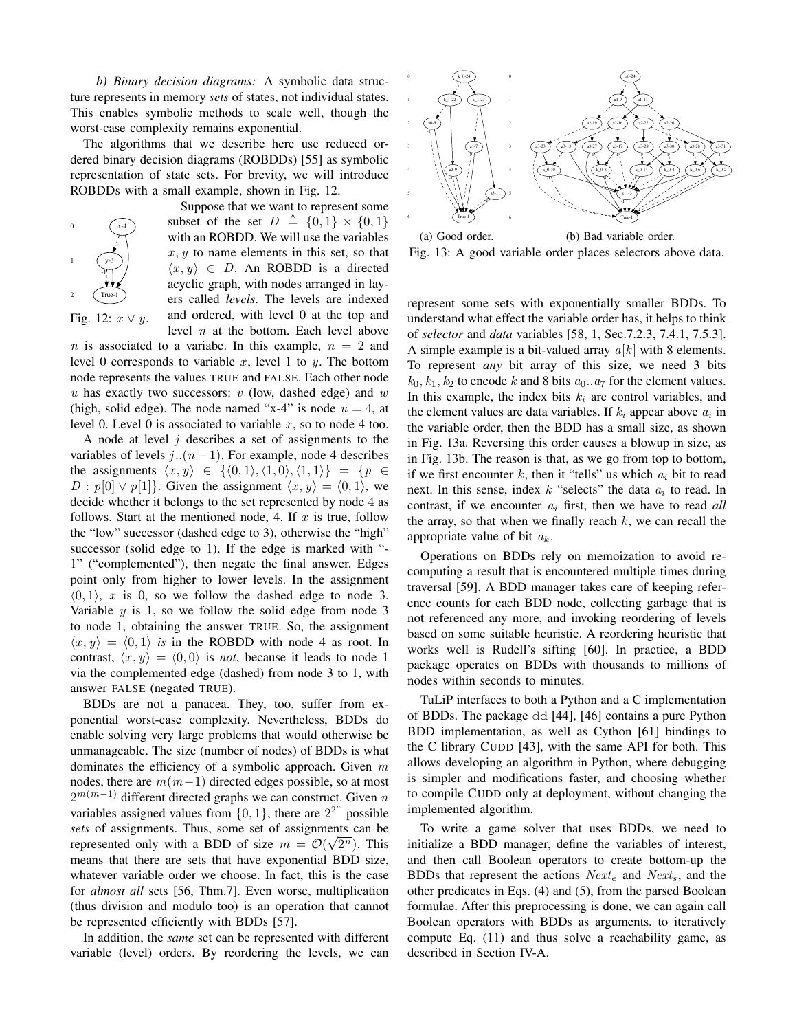*b) Binary decision diagrams:* A symbolic data structure represents in memory *sets* of states, not individual states. This enables symbolic methods to scale well, though the worst-case complexity remains exponential.

The algorithms that we describe here use reduced ordered binary decision diagrams (ROBDDs) [55] as symbolic representation of state sets. For brevity, we will introduce ROBDDs with a small example, shown in Fig. 12.



Suppose that we want to represent some subset of the set  $D \triangleq \{0, 1\} \times \{0, 1\}$ with an ROBDD. We will use the variables  $x, y$  to name elements in this set, so that  $\langle x, y \rangle \in D$ . An ROBDD is a directed acyclic graph, with nodes arranged in layers called *levels*. The levels are indexed and ordered, with level 0 at the top and level *n* at the bottom. Each level above

*n* is associated to a variabe. In this example,  $n = 2$  and level 0 corresponds to variable  $x$ , level 1 to  $y$ . The bottom node represents the values TRUE and FALSE. Each other node *u* has exactly two successors: *v* (low, dashed edge) and *w* (high, solid edge). The node named "x-4" is node  $u = 4$ , at level 0. Level 0 is associated to variable  $x$ , so to node 4 too.

A node at level *j* describes a set of assignments to the variables of levels  $j$ .. $(n-1)$ . For example, node 4 describes the assignments  $\langle x, y \rangle \in \{ \langle 0, 1 \rangle, \langle 1, 0 \rangle, \langle 1, 1 \rangle \} = \{ p \in$  $D: p[0] \vee p[1]$ . Given the assignment  $\langle x, y \rangle = \langle 0, 1 \rangle$ , we decide whether it belongs to the set represented by node 4 as follows. Start at the mentioned node, 4. If *x* is true, follow the "low" successor (dashed edge to 3), otherwise the "high" successor (solid edge to 1). If the edge is marked with "- 1" ("complemented"), then negate the final answer. Edges point only from higher to lower levels. In the assignment  $(0, 1)$ , *x* is 0, so we follow the dashed edge to node 3. Variable *y* is 1, so we follow the solid edge from node 3 to node 1, obtaining the answer TRUE. So, the assignment  $\langle x, y \rangle = \langle 0, 1 \rangle$  *is* in the ROBDD with node 4 as root. In contrast,  $\langle x, y \rangle = \langle 0, 0 \rangle$  is *not*, because it leads to node 1 via the complemented edge (dashed) from node 3 to 1, with answer FALSE (negated TRUE).

BDDs are not a panacea. They, too, suffer from exponential worst-case complexity. Nevertheless, BDDs do enable solving very large problems that would otherwise be unmanageable. The size (number of nodes) of BDDs is what dominates the efficiency of a symbolic approach. Given *m* nodes, there are *m*(*m−*1) directed edges possible, so at most 2 *<sup>m</sup>*(*m−*1) different directed graphs we can construct. Given *n* variables assigned values from  $\{0, 1\}$ , there are  $2^{2^n}$  possible *sets* of assignments. Thus, some set of assignments can be represented only with a BDD of size  $m = \mathcal{O}(\sqrt{2^n})$ . This means that there are sets that have exponential BDD size, whatever variable order we choose. In fact, this is the case for *almost all* sets [56, Thm.7]. Even worse, multiplication (thus division and modulo too) is an operation that cannot be represented efficiently with BDDs [57].

In addition, the *same* set can be represented with different variable (level) orders. By reordering the levels, we can



Fig. 13: A good variable order places selectors above data.

represent some sets with exponentially smaller BDDs. To understand what effect the variable order has, it helps to think of *selector* and *data* variables [58, 1, Sec.7.2.3, 7.4.1, 7.5.3]. A simple example is a bit-valued array *a*[*k*] with 8 elements. To represent *any* bit array of this size, we need 3 bits  $k_0, k_1, k_2$  to encode *k* and 8 bits  $a_0 \cdot a_7$  for the element values. In this example, the index bits  $k_i$  are control variables, and the element values are data variables. If  $k_i$  appear above  $a_i$  in the variable order, then the BDD has a small size, as shown in Fig. 13a. Reversing this order causes a blowup in size, as in Fig. 13b. The reason is that, as we go from top to bottom, if we first encounter  $k$ , then it "tells" us which  $a_i$  bit to read next. In this sense, index  $k$  "selects" the data  $a_i$  to read. In contrast, if we encounter *a<sup>i</sup>* first, then we have to read *all* the array, so that when we finally reach *k*, we can recall the appropriate value of bit *a<sup>k</sup>* .

Operations on BDDs rely on memoization to avoid recomputing a result that is encountered multiple times during traversal [59]. A BDD manager takes care of keeping reference counts for each BDD node, collecting garbage that is not referenced any more, and invoking reordering of levels based on some suitable heuristic. A reordering heuristic that works well is Rudell's sifting [60]. In practice, a BDD package operates on BDDs with thousands to millions of nodes within seconds to minutes.

TuLiP interfaces to both a Python and a C implementation of BDDs. The package dd [44], [46] contains a pure Python BDD implementation, as well as Cython [61] bindings to the C library CUDD [43], with the same API for both. This allows developing an algorithm in Python, where debugging is simpler and modifications faster, and choosing whether to compile CUDD only at deployment, without changing the implemented algorithm.

To write a game solver that uses BDDs, we need to initialize a BDD manager, define the variables of interest, and then call Boolean operators to create bottom-up the BDDs that represent the actions *Next<sup>e</sup>* and *Next<sup>s</sup>* , and the other predicates in Eqs. (4) and (5), from the parsed Boolean formulae. After this preprocessing is done, we can again call Boolean operators with BDDs as arguments, to iteratively compute Eq. (11) and thus solve a reachability game, as described in Section IV-A.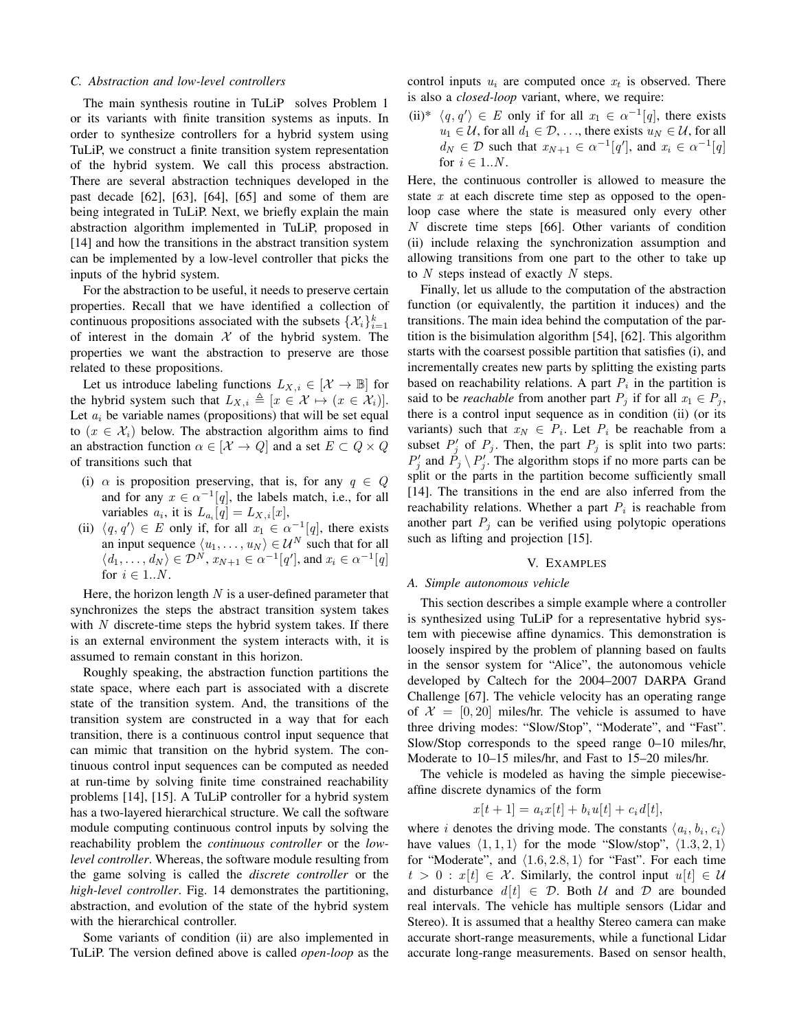## *C. Abstraction and low-level controllers*

The main synthesis routine in TuLiP solves Problem 1 or its variants with finite transition systems as inputs. In order to synthesize controllers for a hybrid system using TuLiP, we construct a finite transition system representation of the hybrid system. We call this process abstraction. There are several abstraction techniques developed in the past decade  $[62]$ ,  $[63]$ ,  $[64]$ ,  $[65]$  and some of them are being integrated in TuLiP. Next, we briefly explain the main abstraction algorithm implemented in TuLiP, proposed in [14] and how the transitions in the abstract transition system can be implemented by a low-level controller that picks the inputs of the hybrid system.

For the abstraction to be useful, it needs to preserve certain properties. Recall that we have identified a collection of continuous propositions associated with the subsets  $\{\mathcal{X}_i\}_{i=1}^k$ of interest in the domain  $X$  of the hybrid system. The properties we want the abstraction to preserve are those related to these propositions.

Let us introduce labeling functions  $L_{X,i} \in [\mathcal{X} \to \mathbb{B}]$  for the hybrid system such that  $L_{X,i} \triangleq [x \in \mathcal{X} \mapsto (x \in \mathcal{X}_i)].$ Let  $a_i$  be variable names (propositions) that will be set equal to  $(x \in \mathcal{X}_i)$  below. The abstraction algorithm aims to find an abstraction function  $\alpha \in [\mathcal{X} \to Q]$  and a set  $E \subset Q \times Q$ of transitions such that

- (i)  $\alpha$  is proposition preserving, that is, for any  $q \in Q$ and for any  $x \in \alpha^{-1}[q]$ , the labels match, i.e., for all variables  $a_i$ , it is  $L_{a_i}[q] = L_{X,i}[x]$ ,
- (ii)  $\langle q, q' \rangle \in E$  only if, for all  $x_1 \in \alpha^{-1}[q]$ , there exists an input sequence  $\langle u_1, \ldots, u_N \rangle \in \mathcal{U}^N$  such that for all  $\langle d_1, \ldots, d_N \rangle \in \mathcal{D}^N, x_{N+1} \in \alpha^{-1}[q'], \text{ and } x_i \in \alpha^{-1}[q]$ for  $i \in 1..N$ .

Here, the horizon length *N* is a user-defined parameter that synchronizes the steps the abstract transition system takes with *N* discrete-time steps the hybrid system takes. If there is an external environment the system interacts with, it is assumed to remain constant in this horizon.

Roughly speaking, the abstraction function partitions the state space, where each part is associated with a discrete state of the transition system. And, the transitions of the transition system are constructed in a way that for each transition, there is a continuous control input sequence that can mimic that transition on the hybrid system. The continuous control input sequences can be computed as needed at run-time by solving finite time constrained reachability problems [14], [15]. A TuLiP controller for a hybrid system has a two-layered hierarchical structure. We call the software module computing continuous control inputs by solving the reachability problem the *continuous controller* or the *lowlevel controller*. Whereas, the software module resulting from the game solving is called the *discrete controller* or the *high-level controller*. Fig. 14 demonstrates the partitioning, abstraction, and evolution of the state of the hybrid system with the hierarchical controller.

Some variants of condition (ii) are also implemented in TuLiP. The version defined above is called *open-loop* as the

control inputs  $u_i$  are computed once  $x_t$  is observed. There is also a *closed-loop* variant, where, we require:

(ii)\*  $\langle q, q' \rangle \in E$  only if for all  $x_1 \in \alpha^{-1}[q]$ , there exists *u*<sub>1</sub>  $∈$  *U*, for all *d*<sub>1</sub>  $∈$  *D*,  $…$ , there exists *u<sub>N</sub>*  $∈$  *U*, for all  $d_N \in \mathcal{D}$  such that  $x_{N+1} \in \alpha^{-1}[q']$ , and  $x_i \in \alpha^{-1}[q]$ for  $i \in 1..N$ .

Here, the continuous controller is allowed to measure the state *x* at each discrete time step as opposed to the openloop case where the state is measured only every other *N* discrete time steps [66]. Other variants of condition (ii) include relaxing the synchronization assumption and allowing transitions from one part to the other to take up to *N* steps instead of exactly *N* steps.

Finally, let us allude to the computation of the abstraction function (or equivalently, the partition it induces) and the transitions. The main idea behind the computation of the partition is the bisimulation algorithm [54], [62]. This algorithm starts with the coarsest possible partition that satisfies (i), and incrementally creates new parts by splitting the existing parts based on reachability relations. A part  $P_i$  in the partition is said to be *reachable* from another part  $P_j$  if for all  $x_1 \in P_j$ , there is a control input sequence as in condition (ii) (or its variants) such that  $x_N \in P_i$ . Let  $P_i$  be reachable from a subset  $P'_j$  of  $P_j$ . Then, the part  $P_j$  is split into two parts:  $P'_j$  and  $P_j \setminus P'_j$ . The algorithm stops if no more parts can be split or the parts in the partition become sufficiently small [14]. The transitions in the end are also inferred from the reachability relations. Whether a part *P<sup>i</sup>* is reachable from another part  $P_j$  can be verified using polytopic operations such as lifting and projection [15].

## V. EXAMPLES

#### *A. Simple autonomous vehicle*

This section describes a simple example where a controller is synthesized using TuLiP for a representative hybrid system with piecewise affine dynamics. This demonstration is loosely inspired by the problem of planning based on faults in the sensor system for "Alice", the autonomous vehicle developed by Caltech for the 2004–2007 DARPA Grand Challenge [67]. The vehicle velocity has an operating range of  $\mathcal{X} = [0, 20]$  miles/hr. The vehicle is assumed to have three driving modes: "Slow/Stop", "Moderate", and "Fast". Slow/Stop corresponds to the speed range 0–10 miles/hr, Moderate to 10–15 miles/hr, and Fast to 15–20 miles/hr.

The vehicle is modeled as having the simple piecewiseaffine discrete dynamics of the form

$$
x[t + 1] = a_i x[t] + b_i u[t] + c_i d[t],
$$

where *i* denotes the driving mode. The constants  $\langle a_i, b_i, c_i \rangle$ have values  $\langle 1, 1, 1 \rangle$  for the mode "Slow/stop",  $\langle 1.3, 2, 1 \rangle$ for "Moderate", and *⟨*1*.*6*,* 2*.*8*,* 1*⟩* for "Fast". For each time  $t > 0$ :  $x[t] \in \mathcal{X}$ . Similarly, the control input  $u[t] \in \mathcal{U}$ and disturbance  $d[t] \in \mathcal{D}$ . Both  $\mathcal{U}$  and  $\mathcal{D}$  are bounded real intervals. The vehicle has multiple sensors (Lidar and Stereo). It is assumed that a healthy Stereo camera can make accurate short-range measurements, while a functional Lidar accurate long-range measurements. Based on sensor health,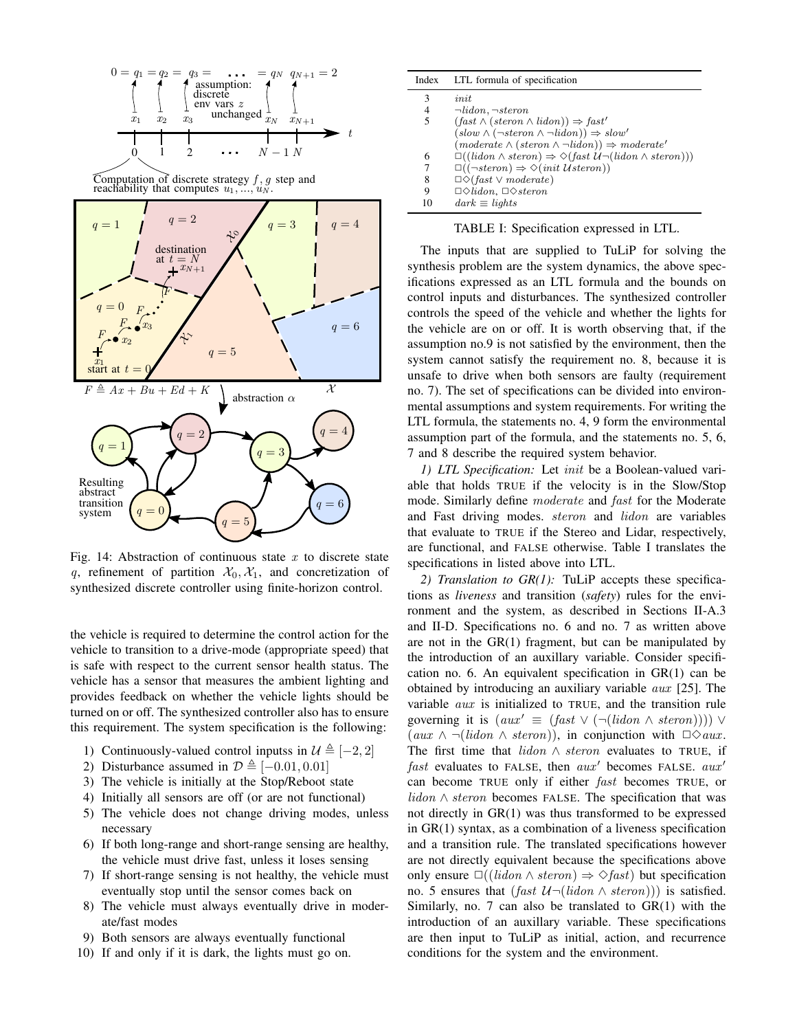

Fig. 14: Abstraction of continuous state *x* to discrete state *q*, refinement of partition  $\mathcal{X}_0, \mathcal{X}_1$ , and concretization of synthesized discrete controller using finite-horizon control.

the vehicle is required to determine the control action for the vehicle to transition to a drive-mode (appropriate speed) that is safe with respect to the current sensor health status. The vehicle has a sensor that measures the ambient lighting and provides feedback on whether the vehicle lights should be turned on or off. The synthesized controller also has to ensure this requirement. The system specification is the following:

- 1) Continuously-valued control inputss in  $\mathcal{U} \triangleq [-2, 2]$
- 2) Disturbance assumed in  $\mathcal{D} \triangleq [-0.01, 0.01]$
- 3) The vehicle is initially at the Stop/Reboot state
- 4) Initially all sensors are off (or are not functional)
- 5) The vehicle does not change driving modes, unless necessary
- 6) If both long-range and short-range sensing are healthy, the vehicle must drive fast, unless it loses sensing
- 7) If short-range sensing is not healthy, the vehicle must eventually stop until the sensor comes back on
- 8) The vehicle must always eventually drive in moderate/fast modes
- 9) Both sensors are always eventually functional
- 10) If and only if it is dark, the lights must go on.

| Index | LTL formula of specification                                                                                                               |
|-------|--------------------------------------------------------------------------------------------------------------------------------------------|
| 3     | init                                                                                                                                       |
| 4     | $\neg$ <i>lidon</i> , $\neg$ <i>steron</i>                                                                                                 |
| 5     | $(fast \wedge (steron \wedge lidon)) \Rightarrow fast'$                                                                                    |
|       | $(slow \land (\neg \text{steron} \land \neg \text{lidon})) \Rightarrow slow'$                                                              |
|       | $(moderate \wedge (steron \wedge \neg lidon)) \Rightarrow moderate'$                                                                       |
| 6     | $\Box((\mathit{lidon} \land \mathit{steron}) \Rightarrow \Diamond(\mathit{fast } \mathcal{U} \neg(\mathit{lidon} \land \mathit{steron})))$ |
| 7     | $\Box((\neg \text{steron}) \Rightarrow \Diamond (\text{init } \text{Usteron}))$                                                            |
| 8     | $\Box \Diamond$ (fast $\lor$ moderate)                                                                                                     |
| 9     | $\Box \Diamond$ <i>lidon</i> , $\Box \Diamond$ <i>steron</i>                                                                               |
| 10    | $dark \equiv \textit{liahts}$                                                                                                              |

TABLE I: Specification expressed in LTL.

The inputs that are supplied to TuLiP for solving the synthesis problem are the system dynamics, the above specifications expressed as an LTL formula and the bounds on control inputs and disturbances. The synthesized controller controls the speed of the vehicle and whether the lights for the vehicle are on or off. It is worth observing that, if the assumption no.9 is not satisfied by the environment, then the system cannot satisfy the requirement no. 8, because it is unsafe to drive when both sensors are faulty (requirement no. 7). The set of specifications can be divided into environmental assumptions and system requirements. For writing the LTL formula, the statements no. 4, 9 form the environmental assumption part of the formula, and the statements no. 5, 6, 7 and 8 describe the required system behavior.

*1) LTL Specification:* Let *init* be a Boolean-valued variable that holds TRUE if the velocity is in the Slow/Stop mode. Similarly define *moderate* and *fast* for the Moderate and Fast driving modes. *steron* and *lidon* are variables that evaluate to TRUE if the Stereo and Lidar, respectively, are functional, and FALSE otherwise. Table I translates the specifications in listed above into LTL.

*2) Translation to GR(1):* TuLiP accepts these specifications as *liveness* and transition (*safety*) rules for the environment and the system, as described in Sections II-A.3 and II-D. Specifications no. 6 and no. 7 as written above are not in the  $GR(1)$  fragment, but can be manipulated by the introduction of an auxillary variable. Consider specification no. 6. An equivalent specification in GR(1) can be obtained by introducing an auxiliary variable *aux* [25]. The variable *aux* is initialized to TRUE, and the transition rule governing it is  $(aux' \equiv (fast \vee (\neg (lidon \wedge steron)))) \vee$  $(aux \land \neg (lidon \land steron)),$  in conjunction with  $\Box \Diamond aux$ . The first time that *lidon ∧ steron* evaluates to TRUE, if *fast* evaluates to FALSE, then *aux'* becomes FALSE. *aux'* can become TRUE only if either *fast* becomes TRUE, or *lidon ∧ steron* becomes FALSE. The specification that was not directly in GR(1) was thus transformed to be expressed in GR(1) syntax, as a combination of a liveness specification and a transition rule. The translated specifications however are not directly equivalent because the specifications above only ensure  $\Box$ ((*lidon* ∧ *steron*)  $\Rightarrow$   $\diamond$ *fast*) but specification no. 5 ensures that  $(fast \ \mathcal{U} \neg (lidon \land steron)))$  is satisfied. Similarly, no. 7 can also be translated to  $GR(1)$  with the introduction of an auxillary variable. These specifications are then input to TuLiP as initial, action, and recurrence conditions for the system and the environment.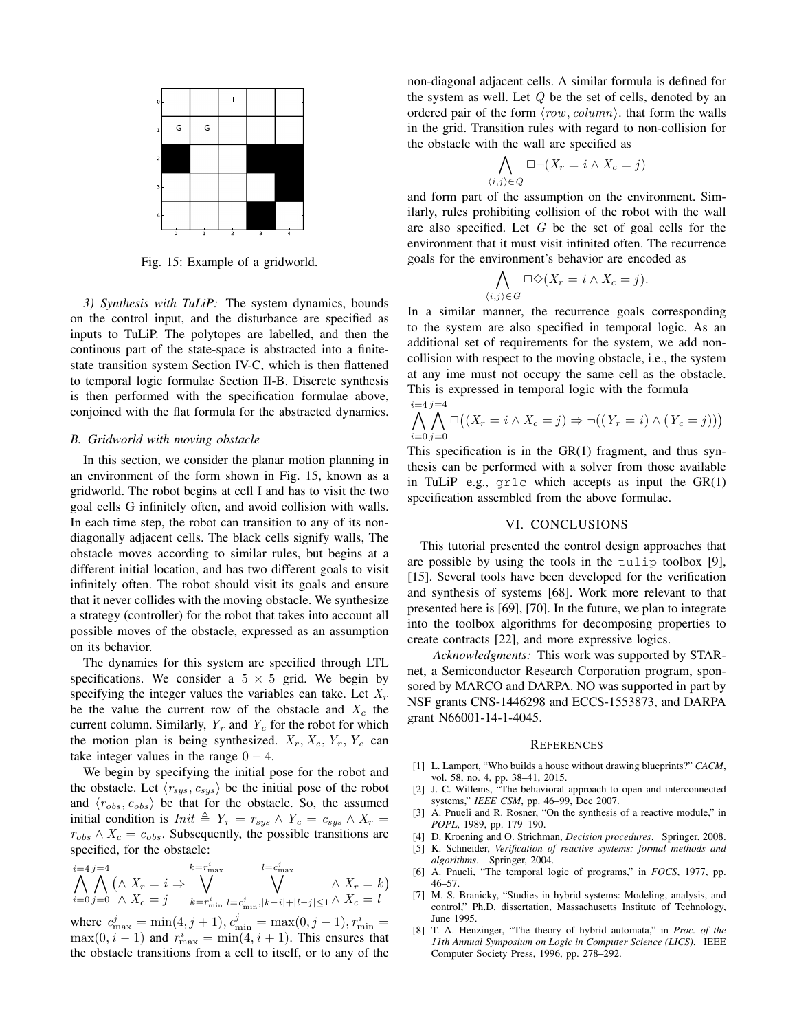

Fig. 15: Example of a gridworld.

*3) Synthesis with TuLiP:* The system dynamics, bounds on the control input, and the disturbance are specified as inputs to TuLiP. The polytopes are labelled, and then the continous part of the state-space is abstracted into a finitestate transition system Section IV-C, which is then flattened to temporal logic formulae Section II-B. Discrete synthesis is then performed with the specification formulae above, conjoined with the flat formula for the abstracted dynamics.

#### *B. Gridworld with moving obstacle*

In this section, we consider the planar motion planning in an environment of the form shown in Fig. 15, known as a gridworld. The robot begins at cell I and has to visit the two goal cells G infinitely often, and avoid collision with walls. In each time step, the robot can transition to any of its nondiagonally adjacent cells. The black cells signify walls, The obstacle moves according to similar rules, but begins at a different initial location, and has two different goals to visit infinitely often. The robot should visit its goals and ensure that it never collides with the moving obstacle. We synthesize a strategy (controller) for the robot that takes into account all possible moves of the obstacle, expressed as an assumption on its behavior.

The dynamics for this system are specified through LTL specifications. We consider a  $5 \times 5$  grid. We begin by specifying the integer values the variables can take. Let *X<sup>r</sup>* be the value the current row of the obstacle and  $X_c$  the current column. Similarly,  $Y_r$  and  $Y_c$  for the robot for which the motion plan is being synthesized.  $X_r$ ,  $X_c$ ,  $Y_r$ ,  $Y_c$  can take integer values in the range  $0 - 4$ .

We begin by specifying the initial pose for the robot and the obstacle. Let  $\langle r_{sys}, c_{sys} \rangle$  be the initial pose of the robot and  $\langle r_{obs}, r_{obs} \rangle$  be that for the obstacle. So, the assumed initial condition is  $Init \triangleq Y_r = r_{sys} \wedge Y_c = c_{sys} \wedge X_r =$  $r_{obs} \wedge X_c = c_{obs}$ . Subsequently, the possible transitions are specified, for the obstacle:

$$
\bigwedge_{i=0}^{i=4} \bigwedge_{j=0}^{j=4} \left( \bigwedge_{i=0}^{k} X_r = i \Rightarrow \bigvee_{k=r_{\min}^i}^{k=r_{\max}^i} \bigvee_{l=c_{\min}^j, |k-i|+|l-j| \leq 1}^{l=c_{\max}^j} \bigwedge_{i=0}^{k=r_{\max}^i} X_r = k \right)
$$

where  $c_{\text{max}}^j = \min(4, j + 1), c_{\text{min}}^j = \max(0, j - 1), r_{\text{min}}^i =$  $\max(0, i - 1)$  and  $r_{\text{max}}^i = \min(4, i + 1)$ . This ensures that the obstacle transitions from a cell to itself, or to any of the non-diagonal adjacent cells. A similar formula is defined for the system as well. Let *Q* be the set of cells, denoted by an ordered pair of the form *⟨row, column⟩*. that form the walls in the grid. Transition rules with regard to non-collision for the obstacle with the wall are specified as

$$
\bigwedge_{\langle i,j\rangle \in Q} \Box \neg (X_r = i \land X_c = j)
$$

and form part of the assumption on the environment. Similarly, rules prohibiting collision of the robot with the wall are also specified. Let *G* be the set of goal cells for the environment that it must visit infinited often. The recurrence goals for the environment's behavior are encoded as

$$
\bigwedge_{\langle i,j\rangle \in G} \Box \Diamond (X_r = i \land X_c = j).
$$

In a similar manner, the recurrence goals corresponding to the system are also specified in temporal logic. As an additional set of requirements for the system, we add noncollision with respect to the moving obstacle, i.e., the system at any ime must not occupy the same cell as the obstacle. This is expressed in temporal logic with the formula

$$
\bigwedge_{i=0}^{i=4} \bigwedge_{j=0}^{j=4} \Box ((X_r = i \land X_c = j) \Rightarrow \neg ((Y_r = i) \land (Y_c = j)))
$$

This specification is in the GR(1) fragment, and thus synthesis can be performed with a solver from those available in TuLiP e.g.,  $qr1c$  which accepts as input the  $GR(1)$ specification assembled from the above formulae.

## VI. CONCLUSIONS

This tutorial presented the control design approaches that are possible by using the tools in the tulip toolbox [9], [15]. Several tools have been developed for the verification and synthesis of systems [68]. Work more relevant to that presented here is [69], [70]. In the future, we plan to integrate into the toolbox algorithms for decomposing properties to create contracts [22], and more expressive logics.

*Acknowledgments:* This work was supported by STARnet, a Semiconductor Research Corporation program, sponsored by MARCO and DARPA. NO was supported in part by NSF grants CNS-1446298 and ECCS-1553873, and DARPA grant N66001-14-1-4045.

#### **REFERENCES**

- [1] L. Lamport, "Who builds a house without drawing blueprints?" *CACM*, vol. 58, no. 4, pp. 38–41, 2015.
- [2] J. C. Willems, "The behavioral approach to open and interconnected systems," *IEEE CSM*, pp. 46–99, Dec 2007.
- [3] A. Pnueli and R. Rosner, "On the synthesis of a reactive module," in *POPL*, 1989, pp. 179–190.
- [4] D. Kroening and O. Strichman, *Decision procedures*. Springer, 2008.
- [5] K. Schneider, *Verification of reactive systems: formal methods and algorithms*. Springer, 2004.
- [6] A. Pnueli, "The temporal logic of programs," in *FOCS*, 1977, pp. 46–57.
- [7] M. S. Branicky, "Studies in hybrid systems: Modeling, analysis, and control," Ph.D. dissertation, Massachusetts Institute of Technology, June 1995.
- [8] T. A. Henzinger, "The theory of hybrid automata," in *Proc. of the 11th Annual Symposium on Logic in Computer Science (LICS)*. IEEE Computer Society Press, 1996, pp. 278–292.